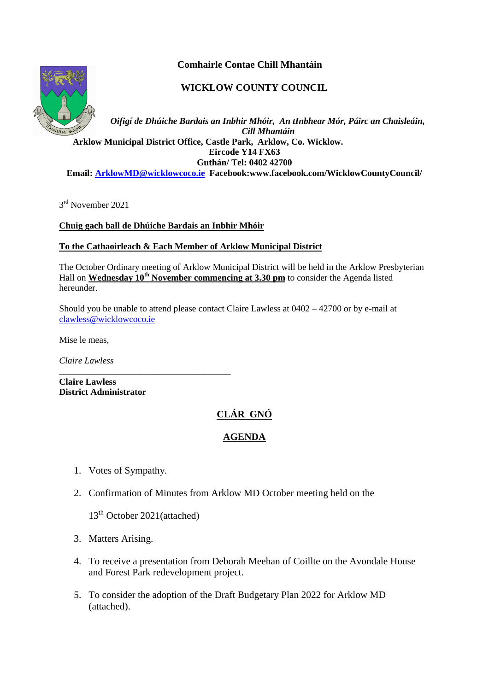# **Comhairle Contae Chill Mhantáin**

# **WICKLOW COUNTY COUNCIL**



*Oifigí de Dhúiche Bardais an Inbhir Mhóir, An tInbhear Mór, Páirc an Chaisleáin, Cill Mhantáin*  **Arklow Municipal District Office, Castle Park, Arklow, Co. Wicklow. Eircode Y14 FX63 Guthán/ Tel: 0402 42700 Email[: ArklowMD@wicklowcoco.ie](mailto:ArklowMD@wicklowcoco.ie) Facebook:www.facebook.com/WicklowCountyCouncil/**

3<sup>rd</sup> November 2021

**Chuig gach ball de Dhúiche Bardais an Inbhir Mhóir**

#### **To the Cathaoirleach & Each Member of Arklow Municipal District**

The October Ordinary meeting of Arklow Municipal District will be held in the Arklow Presbyterian Hall on **Wednesday 10th November commencing at 3.30 pm** to consider the Agenda listed hereunder.

Should you be unable to attend please contact Claire Lawless at 0402 – 42700 or by e-mail at [clawless@wicklowcoco.ie](mailto:clawless@wicklowcoco.ie)

Mise le meas,

*Claire Lawless*

**Claire Lawless District Administrator** 

# **CLÁR GNÓ**

# **AGENDA**

- 1. Votes of Sympathy.
- 2. Confirmation of Minutes from Arklow MD October meeting held on the

13<sup>th</sup> October 2021(attached)

\_\_\_\_\_\_\_\_\_\_\_\_\_\_\_\_\_\_\_\_\_\_\_\_\_\_\_\_\_\_\_\_\_\_\_\_\_\_

- 3. Matters Arising.
- 4. To receive a presentation from Deborah Meehan of Coillte on the Avondale House and Forest Park redevelopment project.
- 5. To consider the adoption of the Draft Budgetary Plan 2022 for Arklow MD (attached).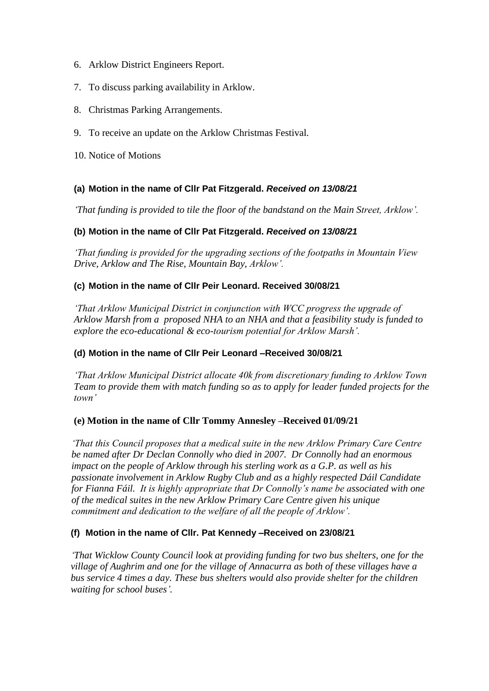- 6. Arklow District Engineers Report.
- 7. To discuss parking availability in Arklow.
- 8. Christmas Parking Arrangements.
- 9. To receive an update on the Arklow Christmas Festival.
- 10. Notice of Motions

### **(a) Motion in the name of Cllr Pat Fitzgerald.** *Received on 13/08/21*

*'That funding is provided to tile the floor of the bandstand on the Main Street, Arklow'.*

### **(b) Motion in the name of Cllr Pat Fitzgerald.** *Received on 13/08/21*

*'That funding is provided for the upgrading sections of the footpaths in Mountain View Drive, Arklow and The Rise, Mountain Bay, Arklow'.*

### **(c) Motion in the name of Cllr Peir Leonard. Received 30/08/21**

*'That Arklow Municipal District in conjunction with WCC progress the upgrade of Arklow Marsh from a proposed NHA to an NHA and that a feasibility study is funded to explore the eco-educational & eco-tourism potential for Arklow Marsh'.*

# **(d) Motion in the name of Cllr Peir Leonard –Received 30/08/21**

*'That Arklow Municipal District allocate 40k from discretionary funding to Arklow Town Team to provide them with match funding so as to apply for leader funded projects for the town'*

#### **(e) Motion in the name of Cllr Tommy Annesley –Received 01/09/21**

*'That this Council proposes that a medical suite in the new Arklow Primary Care Centre be named after Dr Declan Connolly who died in 2007. Dr Connolly had an enormous impact on the people of Arklow through his sterling work as a G.P. as well as his passionate involvement in Arklow Rugby Club and as a highly respected Dáil Candidate for Fianna Fáil. It is highly appropriate that Dr Connolly's name be associated with one of the medical suites in the new Arklow Primary Care Centre given his unique commitment and dedication to the welfare of all the people of Arklow'.*

# **(f) Motion in the name of Cllr. Pat Kennedy –Received on 23/08/21**

*'That Wicklow County Council look at providing funding for two bus shelters, one for the village of Aughrim and one for the village of Annacurra as both of these villages have a bus service 4 times a day. These bus shelters would also provide shelter for the children waiting for school buses'.*